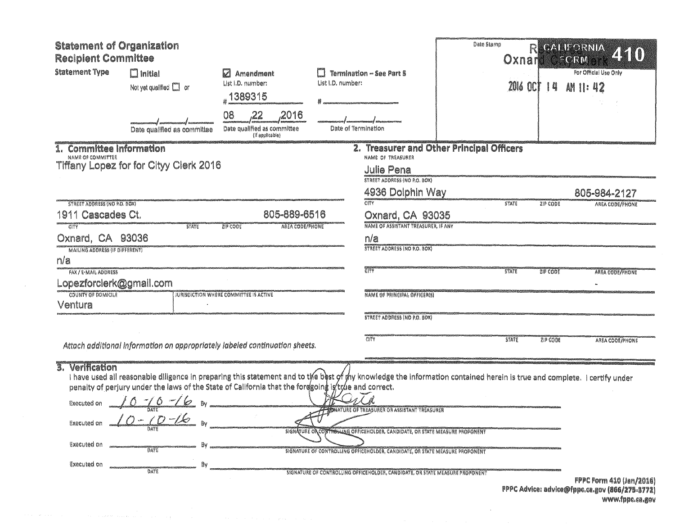| <b>Statement of Organization</b><br><b>Recipient Committee</b>           |                                                                                                                                                                                                                                                                                                                           |                                                                      |                                                |                                                                                                                                                                                                                                                                                                      | Date Stamp | Oxnar           |                 | CALLORNIA<br>E GRIU                                                        |
|--------------------------------------------------------------------------|---------------------------------------------------------------------------------------------------------------------------------------------------------------------------------------------------------------------------------------------------------------------------------------------------------------------------|----------------------------------------------------------------------|------------------------------------------------|------------------------------------------------------------------------------------------------------------------------------------------------------------------------------------------------------------------------------------------------------------------------------------------------------|------------|-----------------|-----------------|----------------------------------------------------------------------------|
| <b>Statement Type</b><br>$\Box$ Initial<br>Not yet qualified $\Box$ or   |                                                                                                                                                                                                                                                                                                                           | Z Amendment<br>List i.D. number:<br>1389315                          | Termination -- See Part 5<br>List I.D. number: |                                                                                                                                                                                                                                                                                                      |            | <b>2016 OCT</b> | 14              | For Official Use Only<br>AM 11: 42                                         |
|                                                                          | Date qualified as committee                                                                                                                                                                                                                                                                                               | 08<br>,22<br>,2016<br>Date qualified as committee<br>(if applicable) | Date of Termination                            |                                                                                                                                                                                                                                                                                                      |            |                 |                 |                                                                            |
| 1. Committee Information<br>NAME OF COMMITTEE                            | Tiffany Lopez for for Cityy Clerk 2016                                                                                                                                                                                                                                                                                    |                                                                      |                                                | 2. Treasurer and Other Principal Officers<br>NAME OF TREASURER<br><b>Julie Pena</b><br><b>STREET ADDRESS (NO P.O. BOX)</b>                                                                                                                                                                           |            |                 |                 |                                                                            |
|                                                                          |                                                                                                                                                                                                                                                                                                                           |                                                                      |                                                | 4936 Dolphin Way                                                                                                                                                                                                                                                                                     |            |                 |                 | 805-984-2127                                                               |
| STREET ADDRESS (NO P.O. BOX)<br>1911 Cascades Ct.                        |                                                                                                                                                                                                                                                                                                                           | 805-889-6516                                                         |                                                | CITY<br>Oxnard, CA 93035                                                                                                                                                                                                                                                                             |            | <b>STATE</b>    | <b>ZIP CODE</b> | AREA CODE/PHONE                                                            |
| CITY<br>Oxnard, CA 93036<br><b>MAILING ADDRESS (IF DIFFERENT)</b><br>n/a | <b>STATE</b>                                                                                                                                                                                                                                                                                                              | ZIP CODE<br><b>AREA CODE/FHONE</b>                                   |                                                | NAME OF ASSISTANT TREASURER, IF ANY<br>n/a<br>STREET ADDRESS (NO P.O. BOX)                                                                                                                                                                                                                           |            |                 |                 |                                                                            |
| <b>FAX / E-MAIL ADDRESS</b>                                              |                                                                                                                                                                                                                                                                                                                           |                                                                      |                                                | EITY                                                                                                                                                                                                                                                                                                 |            | <b>STATE</b>    | <b>SID CODE</b> | <b>AREA CODE/PHONE</b>                                                     |
| Lopezforclerk@gmail.com                                                  |                                                                                                                                                                                                                                                                                                                           |                                                                      |                                                |                                                                                                                                                                                                                                                                                                      |            |                 |                 |                                                                            |
| COUNTY OF DOMICILE                                                       |                                                                                                                                                                                                                                                                                                                           | JURISDICTION WHERE COMMITTEE IS ACTIVE                               |                                                | NAME OF PRINCIPAL OFFICER(S)                                                                                                                                                                                                                                                                         |            |                 |                 |                                                                            |
| Ventura                                                                  |                                                                                                                                                                                                                                                                                                                           |                                                                      |                                                |                                                                                                                                                                                                                                                                                                      |            |                 |                 |                                                                            |
|                                                                          |                                                                                                                                                                                                                                                                                                                           |                                                                      |                                                | <b>STREET ADDRESS (NO P.O. BOX)</b>                                                                                                                                                                                                                                                                  |            |                 |                 |                                                                            |
|                                                                          | Attach additional information on appropriately labeled continuation sheets.                                                                                                                                                                                                                                               |                                                                      |                                                | CITY                                                                                                                                                                                                                                                                                                 |            | STATE           | ZIP CODE        | AREA CODE/PHONE                                                            |
| 3. Verification<br><b>Executed on</b><br>Executed on<br>Executed on      | I have used all reasonable diligence in preparing this statement and to the best of my knowledge the information contained herein is true and complete. I certify under<br>penalty of perjury under the laws of the State of California that the foregoing is true and correct.<br>$10 - 6 - 16$ By<br>DATE<br>B٧<br>DATE |                                                                      |                                                | <b>FIONATURE OF TREASURER OR ASSISTANT TREASURER</b><br>SIGNATURE ON CONTROLLING OFFICEHOLDER, CANDIDATE, OR STATE MEASURE PROPONENT<br>SIGNATURE OF CONTROLLING OFFICEHOLDER, CANDIDATE, OR STATE MEASURE PROPONENT<br>SIGNATURE OF CONTROLLING OFFICEHOLDER, CANDIDATE, OR STATE MEASURE PROPONENT |            |                 |                 |                                                                            |
|                                                                          |                                                                                                                                                                                                                                                                                                                           |                                                                      |                                                |                                                                                                                                                                                                                                                                                                      |            |                 |                 | FPPC Form 410 (Jan/2016)<br>FPPC Advice: advice@fppc.ca.gov (866/275-3772) |

www.fppe.ca.gov

 $\sim 10^{-1}$ 

 $\sim 10^6$